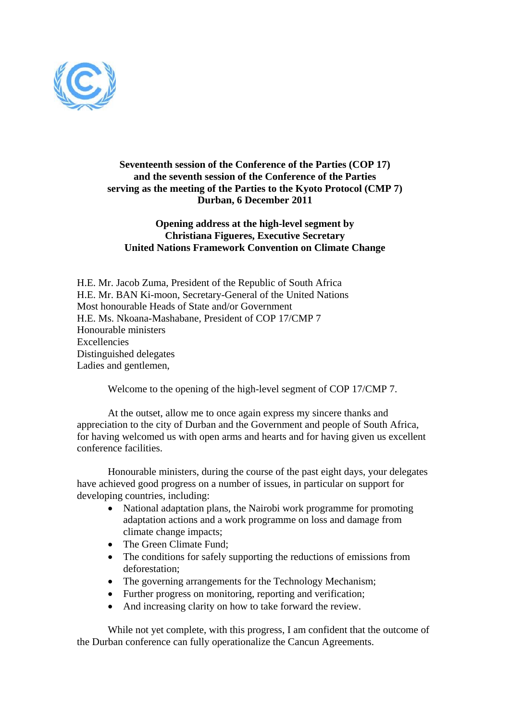

## **Seventeenth session of the Conference of the Parties (COP 17) and the seventh session of the Conference of the Parties serving as the meeting of the Parties to the Kyoto Protocol (CMP 7) Durban, 6 December 2011**

## **Opening address at the high-level segment by Christiana Figueres, Executive Secretary United Nations Framework Convention on Climate Change**

H.E. Mr. Jacob Zuma, President of the Republic of South Africa H.E. Mr. BAN Ki-moon, Secretary-General of the United Nations Most honourable Heads of State and/or Government H.E. Ms. Nkoana-Mashabane, President of COP 17/CMP 7 Honourable ministers Excellencies Distinguished delegates Ladies and gentlemen,

Welcome to the opening of the high-level segment of COP 17/CMP 7.

At the outset, allow me to once again express my sincere thanks and appreciation to the city of Durban and the Government and people of South Africa, for having welcomed us with open arms and hearts and for having given us excellent conference facilities.

Honourable ministers, during the course of the past eight days, your delegates have achieved good progress on a number of issues, in particular on support for developing countries, including:

- National adaptation plans, the Nairobi work programme for promoting adaptation actions and a work programme on loss and damage from climate change impacts;
- The Green Climate Fund;
- The conditions for safely supporting the reductions of emissions from deforestation;
- The governing arrangements for the Technology Mechanism;
- Further progress on monitoring, reporting and verification;
- And increasing clarity on how to take forward the review.

While not yet complete, with this progress, I am confident that the outcome of the Durban conference can fully operationalize the Cancun Agreements.